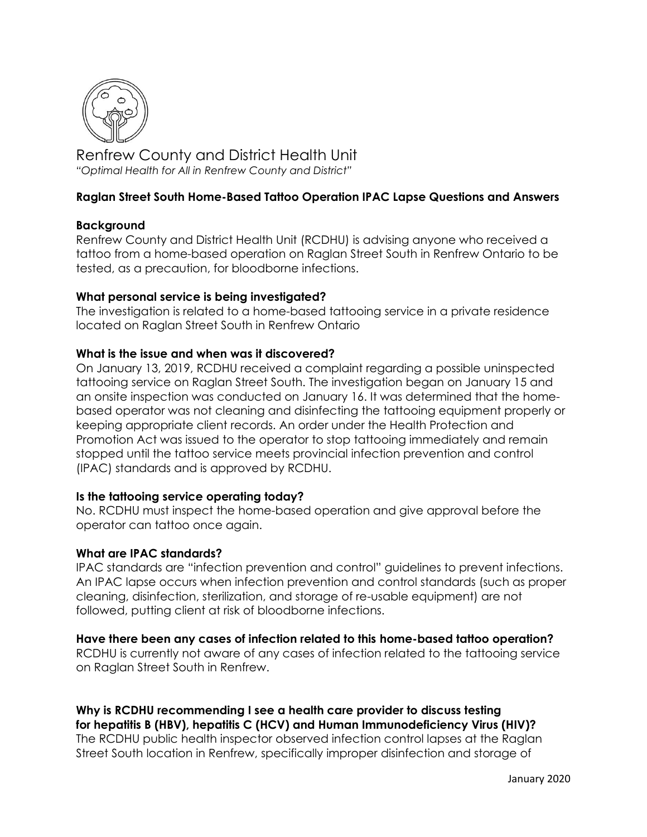

Renfrew County and District Health Unit *"Optimal Health for All in Renfrew County and District"*

# **Raglan Street South Home-Based Tattoo Operation IPAC Lapse Questions and Answers**

### **Background**

Renfrew County and District Health Unit (RCDHU) is advising anyone who received a tattoo from a home-based operation on Raglan Street South in Renfrew Ontario to be tested, as a precaution, for bloodborne infections.

## **What personal service is being investigated?**

The investigation is related to a home-based tattooing service in a private residence located on Raglan Street South in Renfrew Ontario

### **What is the issue and when was it discovered?**

On January 13, 2019, RCDHU received a complaint regarding a possible uninspected tattooing service on Raglan Street South. The investigation began on January 15 and an onsite inspection was conducted on January 16. It was determined that the homebased operator was not cleaning and disinfecting the tattooing equipment properly or keeping appropriate client records. An order under the Health Protection and Promotion Act was issued to the operator to stop tattooing immediately and remain stopped until the tattoo service meets provincial infection prevention and control (IPAC) standards and is approved by RCDHU.

## **Is the tattooing service operating today?**

No. RCDHU must inspect the home-based operation and give approval before the operator can tattoo once again.

## **What are IPAC standards?**

IPAC standards are "infection prevention and control" guidelines to prevent infections. An IPAC lapse occurs when infection prevention and control standards (such as proper cleaning, disinfection, sterilization, and storage of re-usable equipment) are not followed, putting client at risk of bloodborne infections.

## **Have there been any cases of infection related to this home-based tattoo operation?**

RCDHU is currently not aware of any cases of infection related to the tattooing service on Raglan Street South in Renfrew.

# **Why is RCDHU recommending I see a health care provider to discuss testing for hepatitis B (HBV), hepatitis C (HCV) and Human Immunodeficiency Virus (HIV)?**

The RCDHU public health inspector observed infection control lapses at the Raglan Street South location in Renfrew, specifically improper disinfection and storage of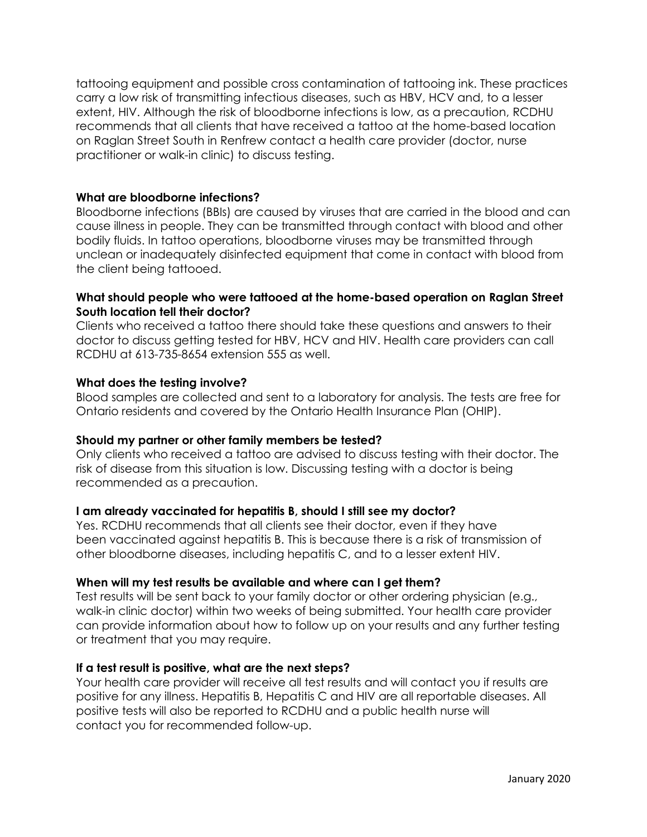tattooing equipment and possible cross contamination of tattooing ink. These practices carry a low risk of transmitting infectious diseases, such as HBV, HCV and, to a lesser extent, HIV. Although the risk of bloodborne infections is low, as a precaution, RCDHU recommends that all clients that have received a tattoo at the home-based location on Raglan Street South in Renfrew contact a health care provider (doctor, nurse practitioner or walk-in clinic) to discuss testing.

# **What are bloodborne infections?**

Bloodborne infections (BBIs) are caused by viruses that are carried in the blood and can cause illness in people. They can be transmitted through contact with blood and other bodily fluids. In tattoo operations, bloodborne viruses may be transmitted through unclean or inadequately disinfected equipment that come in contact with blood from the client being tattooed.

## **What should people who were tattooed at the home-based operation on Raglan Street South location tell their doctor?**

Clients who received a tattoo there should take these questions and answers to their doctor to discuss getting tested for HBV, HCV and HIV. Health care providers can call RCDHU at 613-735-8654 extension 555 as well.

## **What does the testing involve?**

Blood samples are collected and sent to a laboratory for analysis. The tests are free for Ontario residents and covered by the Ontario Health Insurance Plan (OHIP).

## **Should my partner or other family members be tested?**

Only clients who received a tattoo are advised to discuss testing with their doctor. The risk of disease from this situation is low. Discussing testing with a doctor is being recommended as a precaution.

## **I am already vaccinated for hepatitis B, should I still see my doctor?**

Yes. RCDHU recommends that all clients see their doctor, even if they have been vaccinated against hepatitis B. This is because there is a risk of transmission of other bloodborne diseases, including hepatitis C, and to a lesser extent HIV.

## **When will my test results be available and where can I get them?**

Test results will be sent back to your family doctor or other ordering physician (e.g., walk-in clinic doctor) within two weeks of being submitted. Your health care provider can provide information about how to follow up on your results and any further testing or treatment that you may require.

## **If a test result is positive, what are the next steps?**

Your health care provider will receive all test results and will contact you if results are positive for any illness. Hepatitis B, Hepatitis C and HIV are all reportable diseases. All positive tests will also be reported to RCDHU and a public health nurse will contact you for recommended follow-up.